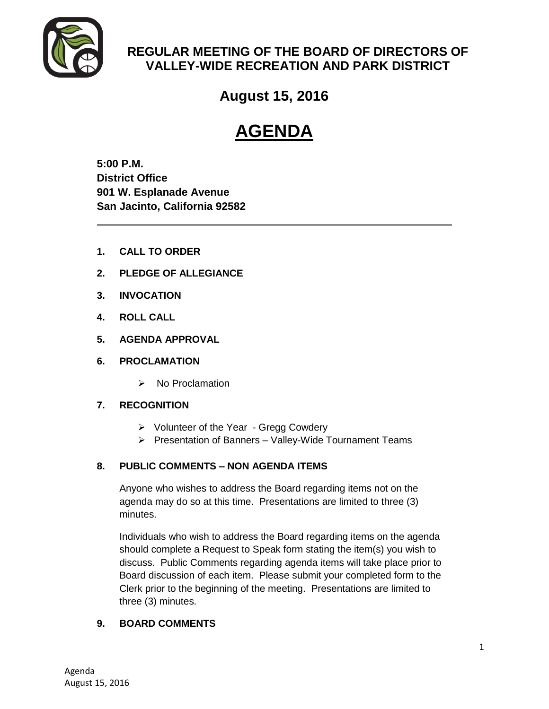

## **REGULAR MEETING OF THE BOARD OF DIRECTORS OF VALLEY-WIDE RECREATION AND PARK DISTRICT**

**August 15, 2016**

# **AGENDA**

**5:00 P.M. District Office 901 W. Esplanade Avenue San Jacinto, California 92582**

- **1. CALL TO ORDER**
- **2. PLEDGE OF ALLEGIANCE**
- **3. INVOCATION**
- **4. ROLL CALL**
- **5. AGENDA APPROVAL**
- **6. PROCLAMATION**
	- $\triangleright$  No Proclamation

### **7. RECOGNITION**

- $\triangleright$  Volunteer of the Year Gregg Cowdery
- $\triangleright$  Presentation of Banners Valley-Wide Tournament Teams

## **8. PUBLIC COMMENTS – NON AGENDA ITEMS**

Anyone who wishes to address the Board regarding items not on the agenda may do so at this time. Presentations are limited to three (3) minutes.

Individuals who wish to address the Board regarding items on the agenda should complete a Request to Speak form stating the item(s) you wish to discuss. Public Comments regarding agenda items will take place prior to Board discussion of each item. Please submit your completed form to the Clerk prior to the beginning of the meeting. Presentations are limited to three (3) minutes.

### **9. BOARD COMMENTS**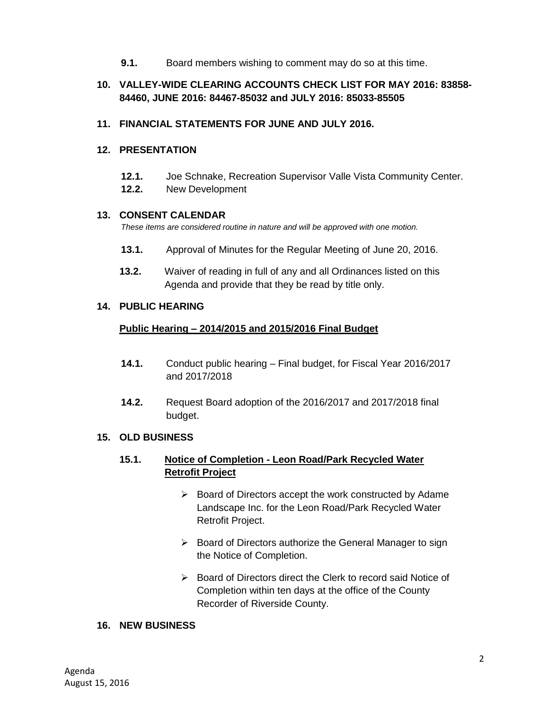**9.1.** Board members wishing to comment may do so at this time.

### **10. VALLEY-WIDE CLEARING ACCOUNTS CHECK LIST FOR MAY 2016: 83858- 84460, JUNE 2016: 84467-85032 and JULY 2016: 85033-85505**

#### **11. FINANCIAL STATEMENTS FOR JUNE AND JULY 2016.**

#### **12. PRESENTATION**

- **12.1.** Joe Schnake, Recreation Supervisor Valle Vista Community Center.
- **12.2.** New Development

#### **13. CONSENT CALENDAR**

*These items are considered routine in nature and will be approved with one motion.* 

- **13.1.** Approval of Minutes for the Regular Meeting of June 20, 2016.
- **13.2.** Waiver of reading in full of any and all Ordinances listed on this Agenda and provide that they be read by title only.

#### **14. PUBLIC HEARING**

#### **Public Hearing – 2014/2015 and 2015/2016 Final Budget**

- **14.1.** Conduct public hearing Final budget, for Fiscal Year 2016/2017 and 2017/2018
- **14.2.** Request Board adoption of the 2016/2017 and 2017/2018 final budget.

#### **15. OLD BUSINESS**

#### **15.1. Notice of Completion - Leon Road/Park Recycled Water Retrofit Project**

- $\triangleright$  Board of Directors accept the work constructed by Adame Landscape Inc. for the Leon Road/Park Recycled Water Retrofit Project.
- $\triangleright$  Board of Directors authorize the General Manager to sign the Notice of Completion.
- ▶ Board of Directors direct the Clerk to record said Notice of Completion within ten days at the office of the County Recorder of Riverside County.

#### **16. NEW BUSINESS**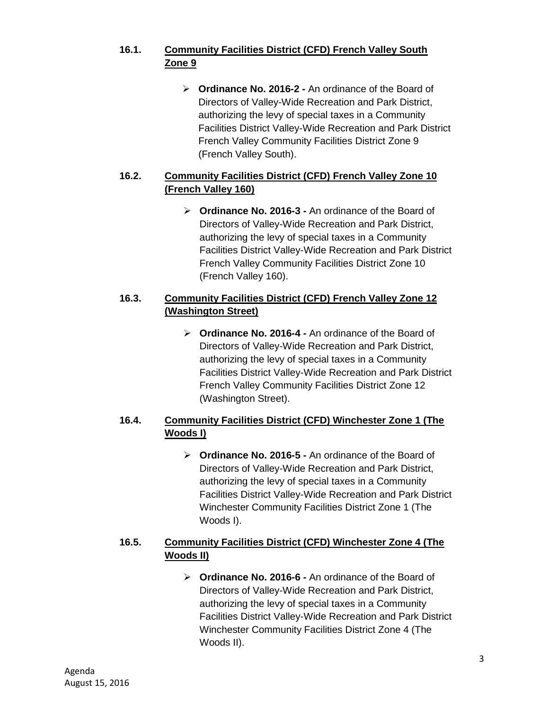## **16.1. Community Facilities District (CFD) French Valley South Zone 9**

 **Ordinance No. 2016-2 -** An ordinance of the Board of Directors of Valley-Wide Recreation and Park District, authorizing the levy of special taxes in a Community Facilities District Valley-Wide Recreation and Park District French Valley Community Facilities District Zone 9 (French Valley South).

## **16.2. Community Facilities District (CFD) French Valley Zone 10 (French Valley 160)**

 **Ordinance No. 2016-3 -** An ordinance of the Board of Directors of Valley-Wide Recreation and Park District, authorizing the levy of special taxes in a Community Facilities District Valley-Wide Recreation and Park District French Valley Community Facilities District Zone 10 (French Valley 160).

## **16.3. Community Facilities District (CFD) French Valley Zone 12 (Washington Street)**

 **Ordinance No. 2016-4 -** An ordinance of the Board of Directors of Valley-Wide Recreation and Park District, authorizing the levy of special taxes in a Community Facilities District Valley-Wide Recreation and Park District French Valley Community Facilities District Zone 12 (Washington Street).

## **16.4. Community Facilities District (CFD) Winchester Zone 1 (The Woods I)**

 **Ordinance No. 2016-5 -** An ordinance of the Board of Directors of Valley-Wide Recreation and Park District, authorizing the levy of special taxes in a Community Facilities District Valley-Wide Recreation and Park District Winchester Community Facilities District Zone 1 (The Woods I).

## **16.5. Community Facilities District (CFD) Winchester Zone 4 (The Woods II)**

 **Ordinance No. 2016-6 -** An ordinance of the Board of Directors of Valley-Wide Recreation and Park District, authorizing the levy of special taxes in a Community Facilities District Valley-Wide Recreation and Park District Winchester Community Facilities District Zone 4 (The Woods II).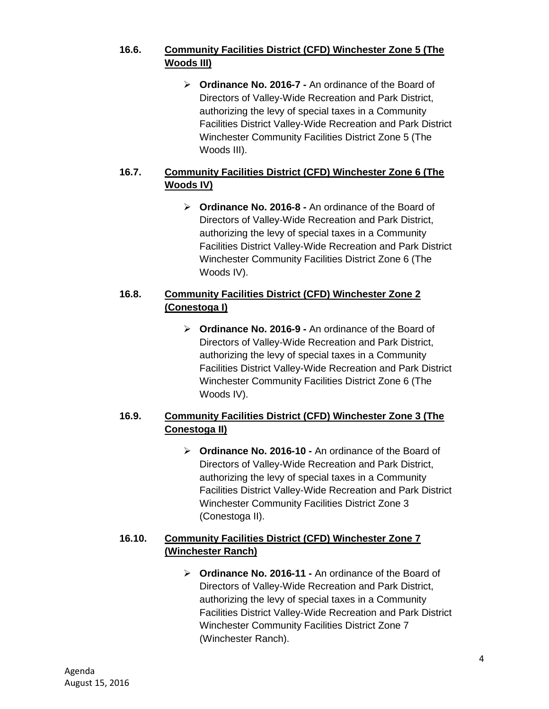## **16.6. Community Facilities District (CFD) Winchester Zone 5 (The Woods III)**

 **Ordinance No. 2016-7 -** An ordinance of the Board of Directors of Valley-Wide Recreation and Park District, authorizing the levy of special taxes in a Community Facilities District Valley-Wide Recreation and Park District Winchester Community Facilities District Zone 5 (The Woods III).

## **16.7. Community Facilities District (CFD) Winchester Zone 6 (The Woods IV)**

 **Ordinance No. 2016-8 -** An ordinance of the Board of Directors of Valley-Wide Recreation and Park District, authorizing the levy of special taxes in a Community Facilities District Valley-Wide Recreation and Park District Winchester Community Facilities District Zone 6 (The Woods IV).

## **16.8. Community Facilities District (CFD) Winchester Zone 2 (Conestoga I)**

 **Ordinance No. 2016-9 -** An ordinance of the Board of Directors of Valley-Wide Recreation and Park District, authorizing the levy of special taxes in a Community Facilities District Valley-Wide Recreation and Park District Winchester Community Facilities District Zone 6 (The Woods IV).

## **16.9. Community Facilities District (CFD) Winchester Zone 3 (The Conestoga II)**

 **Ordinance No. 2016-10 -** An ordinance of the Board of Directors of Valley-Wide Recreation and Park District, authorizing the levy of special taxes in a Community Facilities District Valley-Wide Recreation and Park District Winchester Community Facilities District Zone 3 (Conestoga II).

## **16.10. Community Facilities District (CFD) Winchester Zone 7 (Winchester Ranch)**

 **Ordinance No. 2016-11 -** An ordinance of the Board of Directors of Valley-Wide Recreation and Park District, authorizing the levy of special taxes in a Community Facilities District Valley-Wide Recreation and Park District Winchester Community Facilities District Zone 7 (Winchester Ranch).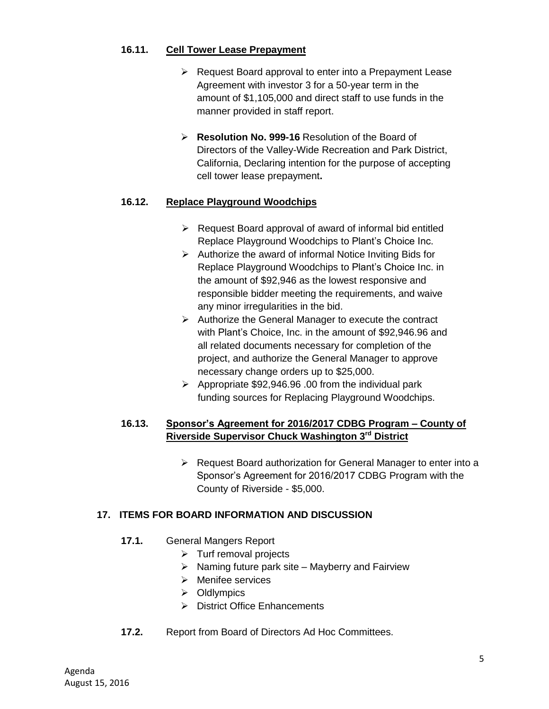#### **16.11. Cell Tower Lease Prepayment**

- $\triangleright$  Request Board approval to enter into a Prepayment Lease Agreement with investor 3 for a 50-year term in the amount of \$1,105,000 and direct staff to use funds in the manner provided in staff report.
- **Resolution No. 999-16** Resolution of the Board of Directors of the Valley-Wide Recreation and Park District, California, Declaring intention for the purpose of accepting cell tower lease prepayment**.**

### **16.12. Replace Playground Woodchips**

- $\triangleright$  Request Board approval of award of informal bid entitled Replace Playground Woodchips to Plant's Choice Inc.
- $\triangleright$  Authorize the award of informal Notice Inviting Bids for Replace Playground Woodchips to Plant's Choice Inc. in the amount of \$92,946 as the lowest responsive and responsible bidder meeting the requirements, and waive any minor irregularities in the bid.
- $\triangleright$  Authorize the General Manager to execute the contract with Plant's Choice, Inc. in the amount of \$92,946.96 and all related documents necessary for completion of the project, and authorize the General Manager to approve necessary change orders up to \$25,000.
- $\triangleright$  Appropriate \$92,946.96 .00 from the individual park funding sources for Replacing Playground Woodchips.

### **16.13. Sponsor's Agreement for 2016/2017 CDBG Program – County of Riverside Supervisor Chuck Washington 3rd District**

 $\triangleright$  Request Board authorization for General Manager to enter into a Sponsor's Agreement for 2016/2017 CDBG Program with the County of Riverside - \$5,000.

### **17. ITEMS FOR BOARD INFORMATION AND DISCUSSION**

- **17.1.** General Mangers Report
	- $\triangleright$  Turf removal projects
	- $\triangleright$  Naming future park site Mayberry and Fairview
	- $\triangleright$  Menifee services
	- $\triangleright$  Oldlympics
	- District Office Enhancements
- **17.2.** Report from Board of Directors Ad Hoc Committees.